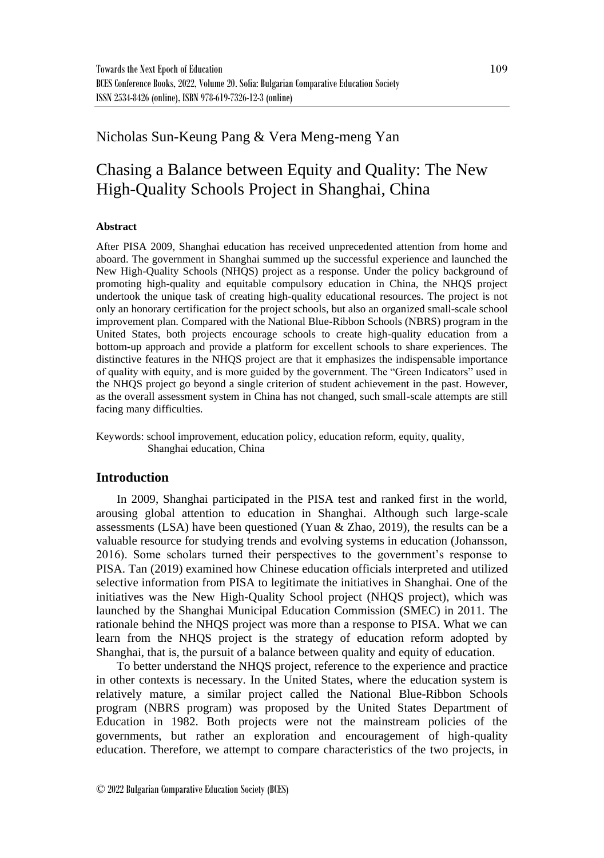## Nicholas Sun-Keung Pang & Vera Meng-meng Yan

# Chasing a Balance between Equity and Quality: The New High-Quality Schools Project in Shanghai, China

#### **Abstract**

After PISA 2009, Shanghai education has received unprecedented attention from home and aboard. The government in Shanghai summed up the successful experience and launched the New High-Quality Schools (NHQS) project as a response. Under the policy background of promoting high-quality and equitable compulsory education in China, the NHQS project undertook the unique task of creating high-quality educational resources. The project is not only an honorary certification for the project schools, but also an organized small-scale school improvement plan. Compared with the National Blue-Ribbon Schools (NBRS) program in the United States, both projects encourage schools to create high-quality education from a bottom-up approach and provide a platform for excellent schools to share experiences. The distinctive features in the NHQS project are that it emphasizes the indispensable importance of quality with equity, and is more guided by the government. The "Green Indicators" used in the NHQS project go beyond a single criterion of student achievement in the past. However, as the overall assessment system in China has not changed, such small-scale attempts are still facing many difficulties.

Keywords: school improvement, education policy, education reform, equity, quality, Shanghai education, China

### **Introduction**

In 2009, Shanghai participated in the PISA test and ranked first in the world, arousing global attention to education in Shanghai. Although such large-scale assessments (LSA) have been questioned (Yuan & Zhao, 2019), the results can be a valuable resource for studying trends and evolving systems in education (Johansson, 2016). Some scholars turned their perspectives to the government's response to PISA. Tan (2019) examined how Chinese education officials interpreted and utilized selective information from PISA to legitimate the initiatives in Shanghai. One of the initiatives was the New High-Quality School project (NHQS project), which was launched by the Shanghai Municipal Education Commission (SMEC) in 2011*.* The rationale behind the NHQS project was more than a response to PISA. What we can learn from the NHQS project is the strategy of education reform adopted by Shanghai, that is, the pursuit of a balance between quality and equity of education.

To better understand the NHQS project, reference to the experience and practice in other contexts is necessary. In the United States, where the education system is relatively mature, a similar project called the National Blue-Ribbon Schools program (NBRS program) was proposed by the United States Department of Education in 1982. Both projects were not the mainstream policies of the governments, but rather an exploration and encouragement of high-quality education. Therefore, we attempt to compare characteristics of the two projects, in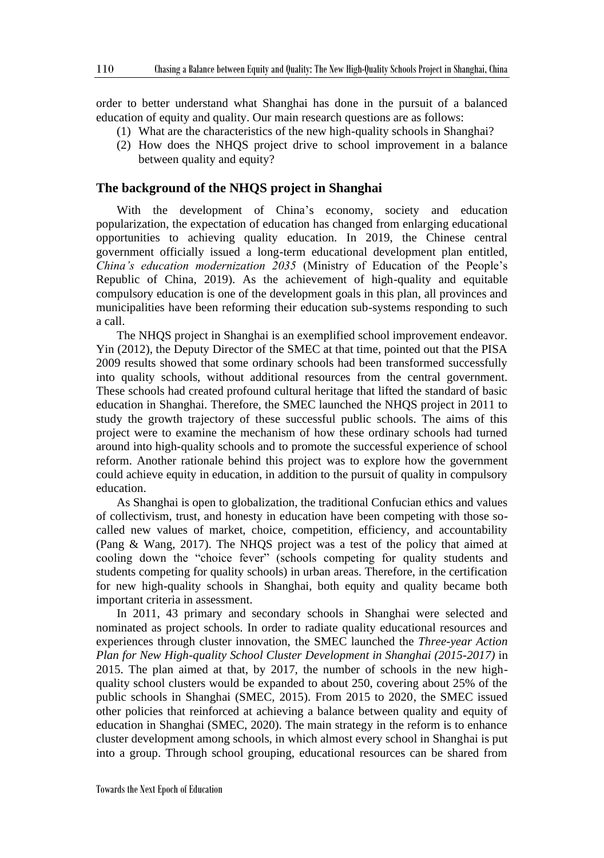order to better understand what Shanghai has done in the pursuit of a balanced education of equity and quality. Our main research questions are as follows:

- (1) What are the characteristics of the new high-quality schools in Shanghai?
- (2) How does the NHQS project drive to school improvement in a balance between quality and equity?

#### **The background of the NHQS project in Shanghai**

With the development of China's economy, society and education popularization, the expectation of education has changed from enlarging educational opportunities to achieving quality education. In 2019, the Chinese central government officially issued a long-term educational development plan entitled, *China's education modernization 2035* (Ministry of Education of the People's Republic of China, 2019). As the achievement of high-quality and equitable compulsory education is one of the development goals in this plan, all provinces and municipalities have been reforming their education sub-systems responding to such a call.

The NHQS project in Shanghai is an exemplified school improvement endeavor. Yin (2012), the Deputy Director of the SMEC at that time, pointed out that the PISA 2009 results showed that some ordinary schools had been transformed successfully into quality schools, without additional resources from the central government. These schools had created profound cultural heritage that lifted the standard of basic education in Shanghai. Therefore, the SMEC launched the NHQS project in 2011 to study the growth trajectory of these successful public schools. The aims of this project were to examine the mechanism of how these ordinary schools had turned around into high-quality schools and to promote the successful experience of school reform. Another rationale behind this project was to explore how the government could achieve equity in education, in addition to the pursuit of quality in compulsory education.

As Shanghai is open to globalization, the traditional Confucian ethics and values of collectivism, trust, and honesty in education have been competing with those socalled new values of market, choice, competition, efficiency, and accountability (Pang & Wang, 2017). The NHQS project was a test of the policy that aimed at cooling down the "choice fever" (schools competing for quality students and students competing for quality schools) in urban areas. Therefore, in the certification for new high-quality schools in Shanghai, both equity and quality became both important criteria in assessment.

In 2011, 43 primary and secondary schools in Shanghai were selected and nominated as project schools. In order to radiate quality educational resources and experiences through cluster innovation, the SMEC launched the *Three-year Action Plan for New High-quality School Cluster Development in Shanghai (2015-2017)* in 2015. The plan aimed at that, by 2017, the number of schools in the new highquality school clusters would be expanded to about 250, covering about 25% of the public schools in Shanghai (SMEC, 2015). From 2015 to 2020, the SMEC issued other policies that reinforced at achieving a balance between quality and equity of education in Shanghai (SMEC, 2020). The main strategy in the reform is to enhance cluster development among schools, in which almost every school in Shanghai is put into a group. Through school grouping, educational resources can be shared from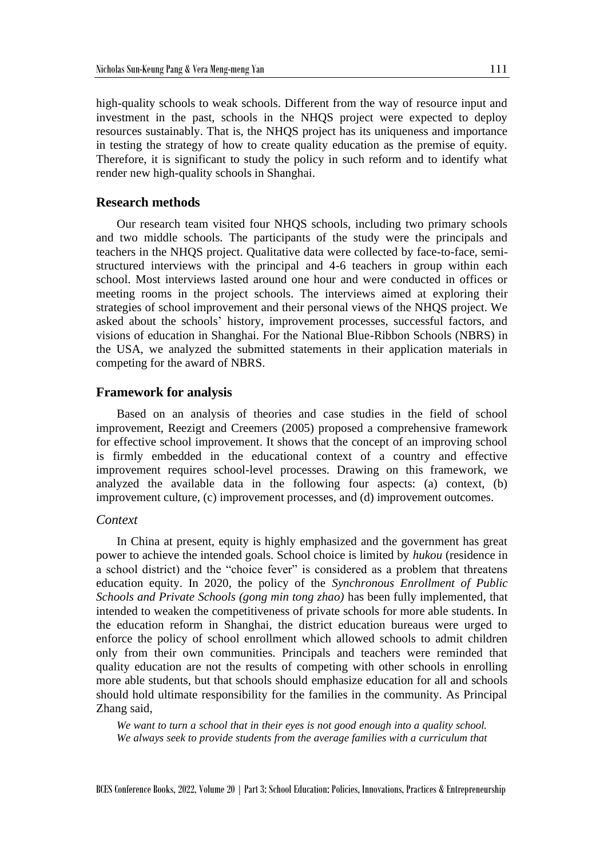high-quality schools to weak schools. Different from the way of resource input and investment in the past, schools in the NHQS project were expected to deploy resources sustainably. That is, the NHQS project has its uniqueness and importance in testing the strategy of how to create quality education as the premise of equity. Therefore, it is significant to study the policy in such reform and to identify what render new high-quality schools in Shanghai.

#### **Research methods**

Our research team visited four NHQS schools, including two primary schools and two middle schools. The participants of the study were the principals and teachers in the NHQS project. Qualitative data were collected by face-to-face, semistructured interviews with the principal and 4-6 teachers in group within each school. Most interviews lasted around one hour and were conducted in offices or meeting rooms in the project schools. The interviews aimed at exploring their strategies of school improvement and their personal views of the NHQS project. We asked about the schools' history, improvement processes, successful factors, and visions of education in Shanghai. For the National Blue-Ribbon Schools (NBRS) in the USA, we analyzed the submitted statements in their application materials in competing for the award of NBRS.

#### **Framework for analysis**

Based on an analysis of theories and case studies in the field of school improvement, Reezigt and Creemers (2005) proposed a comprehensive framework for effective school improvement. It shows that the concept of an improving school is firmly embedded in the educational context of a country and effective improvement requires school-level processes. Drawing on this framework, we analyzed the available data in the following four aspects: (a) context, (b) improvement culture, (c) improvement processes, and (d) improvement outcomes.

#### *Context*

In China at present, equity is highly emphasized and the government has great power to achieve the intended goals. School choice is limited by *hukou* (residence in a school district) and the "choice fever" is considered as a problem that threatens education equity. In 2020, the policy of the *Synchronous Enrollment of Public Schools and Private Schools (gong min tong zhao)* has been fully implemented, that intended to weaken the competitiveness of private schools for more able students. In the education reform in Shanghai, the district education bureaus were urged to enforce the policy of school enrollment which allowed schools to admit children only from their own communities. Principals and teachers were reminded that quality education are not the results of competing with other schools in enrolling more able students, but that schools should emphasize education for all and schools should hold ultimate responsibility for the families in the community. As Principal Zhang said,

*We want to turn a school that in their eyes is not good enough into a quality school. We always seek to provide students from the average families with a curriculum that*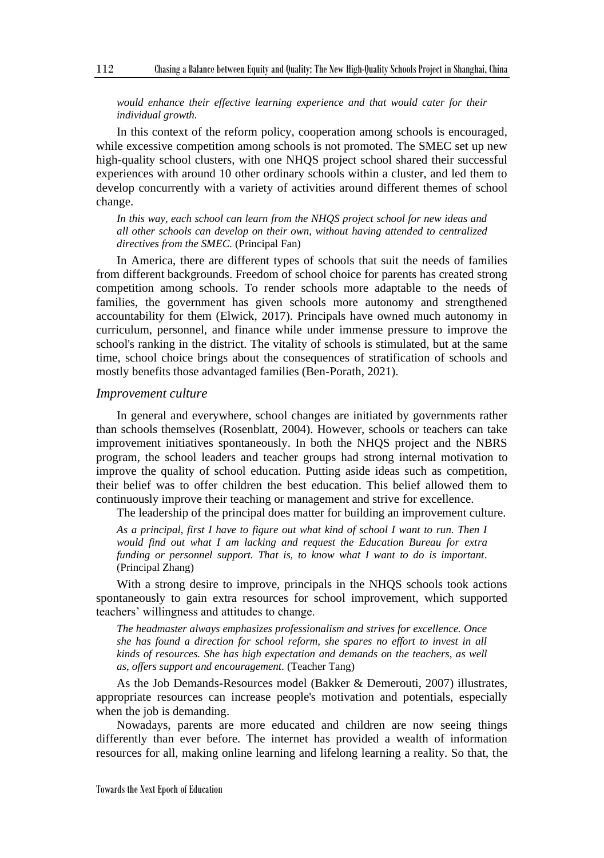#### *would enhance their effective learning experience and that would cater for their individual growth.*

In this context of the reform policy, cooperation among schools is encouraged, while excessive competition among schools is not promoted. The SMEC set up new high-quality school clusters, with one NHQS project school shared their successful experiences with around 10 other ordinary schools within a cluster, and led them to develop concurrently with a variety of activities around different themes of school change.

*In this way, each school can learn from the NHQS project school for new ideas and all other schools can develop on their own, without having attended to centralized directives from the SMEC.* (Principal Fan)

In America, there are different types of schools that suit the needs of families from different backgrounds. Freedom of school choice for parents has created strong competition among schools. To render schools more adaptable to the needs of families, the government has given schools more autonomy and strengthened accountability for them (Elwick, 2017). Principals have owned much autonomy in curriculum, personnel, and finance while under immense pressure to improve the school's ranking in the district. The vitality of schools is stimulated, but at the same time, school choice brings about the consequences of stratification of schools and mostly benefits those advantaged families (Ben-Porath, 2021).

#### *Improvement culture*

In general and everywhere, school changes are initiated by governments rather than schools themselves (Rosenblatt, 2004). However, schools or teachers can take improvement initiatives spontaneously. In both the NHQS project and the NBRS program, the school leaders and teacher groups had strong internal motivation to improve the quality of school education. Putting aside ideas such as competition, their belief was to offer children the best education. This belief allowed them to continuously improve their teaching or management and strive for excellence.

The leadership of the principal does matter for building an improvement culture.

*As a principal, first I have to figure out what kind of school I want to run. Then I would find out what I am lacking and request the Education Bureau for extra funding or personnel support. That is, to know what I want to do is important.* (Principal Zhang)

With a strong desire to improve, principals in the NHQS schools took actions spontaneously to gain extra resources for school improvement, which supported teachers' willingness and attitudes to change.

*The headmaster always emphasizes professionalism and strives for excellence. Once she has found a direction for school reform, she spares no effort to invest in all kinds of resources. She has high expectation and demands on the teachers, as well as, offers support and encouragement.* (Teacher Tang)

As the Job Demands-Resources model (Bakker & Demerouti, 2007) illustrates, appropriate resources can increase people's motivation and potentials, especially when the job is demanding.

Nowadays, parents are more educated and children are now seeing things differently than ever before. The internet has provided a wealth of information resources for all, making online learning and lifelong learning a reality. So that, the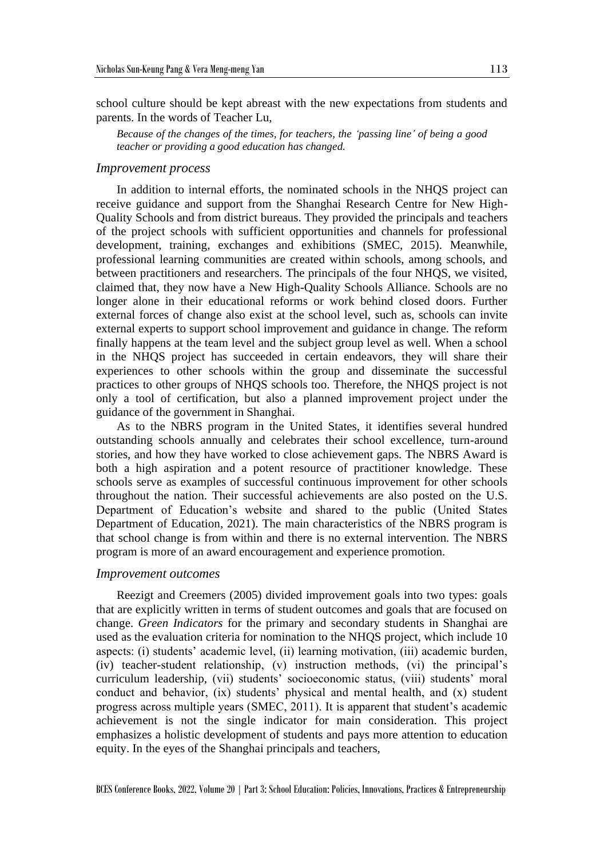school culture should be kept abreast with the new expectations from students and parents. In the words of Teacher Lu,

*Because of the changes of the times, for teachers, the 'passing line' of being a good teacher or providing a good education has changed.*

#### *Improvement process*

In addition to internal efforts, the nominated schools in the NHQS project can receive guidance and support from the Shanghai Research Centre for New High-Quality Schools and from district bureaus. They provided the principals and teachers of the project schools with sufficient opportunities and channels for professional development, training, exchanges and exhibitions (SMEC, 2015). Meanwhile, professional learning communities are created within schools, among schools, and between practitioners and researchers. The principals of the four NHQS, we visited, claimed that, they now have a New High-Quality Schools Alliance. Schools are no longer alone in their educational reforms or work behind closed doors. Further external forces of change also exist at the school level, such as, schools can invite external experts to support school improvement and guidance in change. The reform finally happens at the team level and the subject group level as well. When a school in the NHQS project has succeeded in certain endeavors, they will share their experiences to other schools within the group and disseminate the successful practices to other groups of NHQS schools too. Therefore, the NHQS project is not only a tool of certification, but also a planned improvement project under the guidance of the government in Shanghai.

As to the NBRS program in the United States, it identifies several hundred outstanding schools annually and celebrates their school excellence, turn-around stories, and how they have worked to close achievement gaps. The NBRS Award is both a high aspiration and a potent resource of practitioner knowledge. These schools serve as examples of successful continuous improvement for other schools throughout the nation. Their successful achievements are also posted on the U.S. Department of Education's website and shared to the public (United States Department of Education, 2021). The main characteristics of the NBRS program is that school change is from within and there is no external intervention. The NBRS program is more of an award encouragement and experience promotion.

#### *Improvement outcomes*

Reezigt and Creemers (2005) divided improvement goals into two types: goals that are explicitly written in terms of student outcomes and goals that are focused on change. *Green Indicators* for the primary and secondary students in Shanghai are used as the evaluation criteria for nomination to the NHQS project, which include 10 aspects: (i) students' academic level, (ii) learning motivation, (iii) academic burden, (iv) teacher-student relationship, (v) instruction methods, (vi) the principal's curriculum leadership, (vii) students' socioeconomic status, (viii) students' moral conduct and behavior, (ix) students' physical and mental health, and (x) student progress across multiple years (SMEC, 2011). It is apparent that student's academic achievement is not the single indicator for main consideration. This project emphasizes a holistic development of students and pays more attention to education equity. In the eyes of the Shanghai principals and teachers,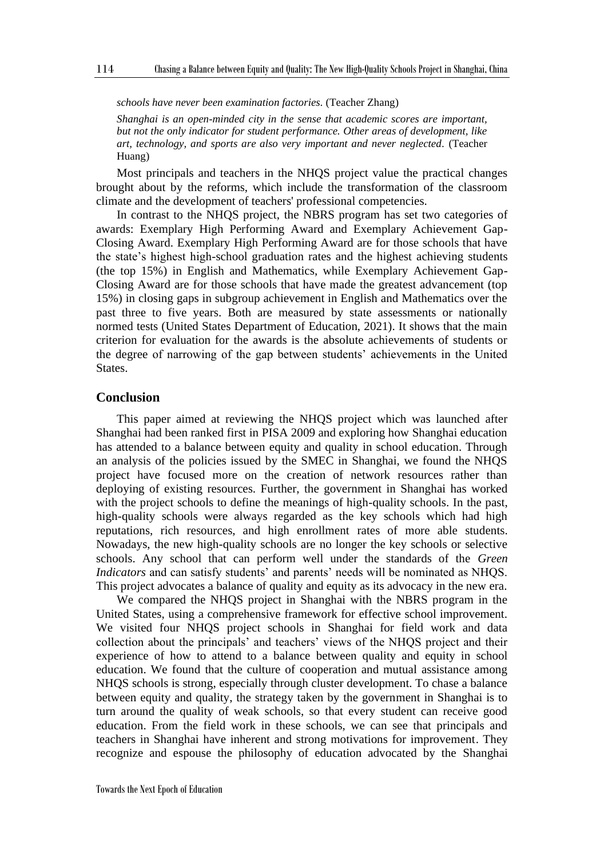*schools have never been examination factories.* (Teacher Zhang)

*Shanghai is an open-minded city in the sense that academic scores are important, but not the only indicator for student performance. Other areas of development, like art, technology, and sports are also very important and never neglected.* (Teacher Huang)

Most principals and teachers in the NHQS project value the practical changes brought about by the reforms, which include the transformation of the classroom climate and the development of teachers' professional competencies.

In contrast to the NHQS project, the NBRS program has set two categories of awards: Exemplary High Performing Award and Exemplary Achievement Gap-Closing Award. Exemplary High Performing Award are for those schools that have the state's highest high-school graduation rates and the highest achieving students (the top 15%) in English and Mathematics, while Exemplary Achievement Gap-Closing Award are for those schools that have made the greatest advancement (top 15%) in closing gaps in subgroup achievement in English and Mathematics over the past three to five years. Both are measured by state assessments or nationally normed tests (United States Department of Education, 2021). It shows that the main criterion for evaluation for the awards is the absolute achievements of students or the degree of narrowing of the gap between students' achievements in the United States.

#### **Conclusion**

This paper aimed at reviewing the NHQS project which was launched after Shanghai had been ranked first in PISA 2009 and exploring how Shanghai education has attended to a balance between equity and quality in school education. Through an analysis of the policies issued by the SMEC in Shanghai, we found the NHQS project have focused more on the creation of network resources rather than deploying of existing resources. Further, the government in Shanghai has worked with the project schools to define the meanings of high-quality schools. In the past, high-quality schools were always regarded as the key schools which had high reputations, rich resources, and high enrollment rates of more able students. Nowadays, the new high-quality schools are no longer the key schools or selective schools. Any school that can perform well under the standards of the *Green Indicators* and can satisfy students' and parents' needs will be nominated as NHQS. This project advocates a balance of quality and equity as its advocacy in the new era.

We compared the NHQS project in Shanghai with the NBRS program in the United States, using a comprehensive framework for effective school improvement. We visited four NHQS project schools in Shanghai for field work and data collection about the principals' and teachers' views of the NHQS project and their experience of how to attend to a balance between quality and equity in school education. We found that the culture of cooperation and mutual assistance among NHQS schools is strong, especially through cluster development. To chase a balance between equity and quality, the strategy taken by the government in Shanghai is to turn around the quality of weak schools, so that every student can receive good education. From the field work in these schools, we can see that principals and teachers in Shanghai have inherent and strong motivations for improvement. They recognize and espouse the philosophy of education advocated by the Shanghai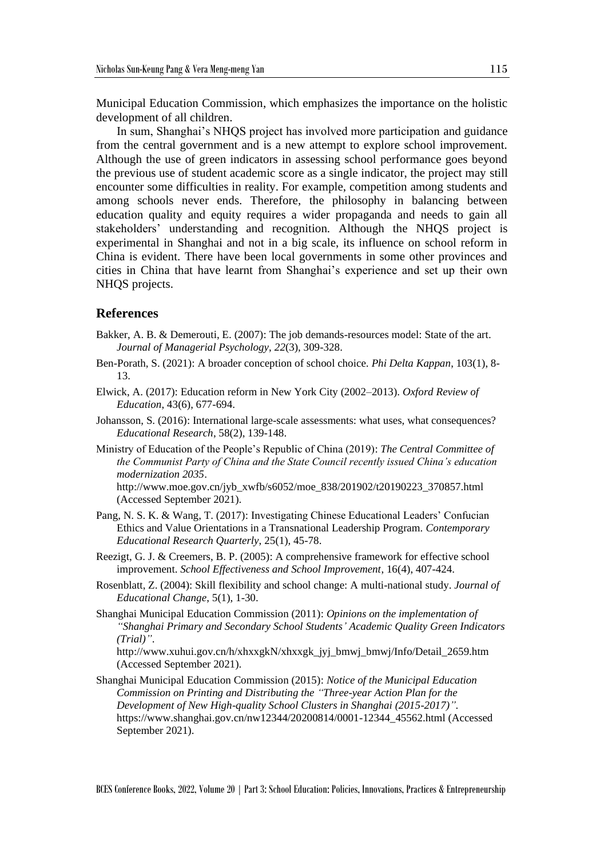Municipal Education Commission, which emphasizes the importance on the holistic development of all children.

In sum, Shanghai's NHQS project has involved more participation and guidance from the central government and is a new attempt to explore school improvement. Although the use of green indicators in assessing school performance goes beyond the previous use of student academic score as a single indicator, the project may still encounter some difficulties in reality. For example, competition among students and among schools never ends. Therefore, the philosophy in balancing between education quality and equity requires a wider propaganda and needs to gain all stakeholders' understanding and recognition. Although the NHQS project is experimental in Shanghai and not in a big scale, its influence on school reform in China is evident. There have been local governments in some other provinces and cities in China that have learnt from Shanghai's experience and set up their own NHQS projects.

#### **References**

- Bakker, A. B. & Demerouti, E. (2007): The job demands-resources model: State of the art. *Journal of Managerial Psychology*, *22*(3), 309-328.
- Ben-Porath, S. (2021): A broader conception of school choice. *Phi Delta Kappan*, 103(1), 8- 13.
- Elwick, A. (2017): Education reform in New York City (2002–2013). *Oxford Review of Education*, 43(6), 677-694.
- Johansson, S. (2016): International large-scale assessments: what uses, what consequences? *Educational Research*, 58(2), 139-148.
- Ministry of Education of the People's Republic of China (2019): *The Central Committee of the Communist Party of China and the State Council recently issued China's education modernization 2035*.

http://www.moe.gov.cn/jyb\_xwfb/s6052/moe\_838/201902/t20190223\_370857.html (Accessed September 2021).

- Pang, N. S. K. & Wang, T. (2017): Investigating Chinese Educational Leaders' Confucian Ethics and Value Orientations in a Transnational Leadership Program. *Contemporary Educational Research Quarterly*, 25(1), 45-78.
- Reezigt, G. J. & Creemers, B. P. (2005): A comprehensive framework for effective school improvement. *School Effectiveness and School Improvement*, 16(4), 407-424.
- Rosenblatt, Z. (2004): Skill flexibility and school change: A multi-national study. *Journal of Educational Change*, 5(1), 1-30.
- Shanghai Municipal Education Commission (2011): *Opinions on the implementation of "Shanghai Primary and Secondary School Students' Academic Quality Green Indicators (Trial)"*.

http://www.xuhui.gov.cn/h/xhxxgkN/xhxxgk\_jyj\_bmwj\_bmwj/Info/Detail\_2659.htm (Accessed September 2021).

Shanghai Municipal Education Commission (2015): *Notice of the Municipal Education Commission on Printing and Distributing the "Three-year Action Plan for the Development of New High-quality School Clusters in Shanghai (2015-2017)"*. https://www.shanghai.gov.cn/nw12344/20200814/0001-12344\_45562.html (Accessed September 2021).